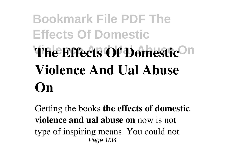# **Bookmark File PDF The Effects Of Domestic Vine Effects Of Domestic<sup>On</sup> Violence And Ual Abuse On**

Getting the books **the effects of domestic violence and ual abuse on** now is not type of inspiring means. You could not Page 1/34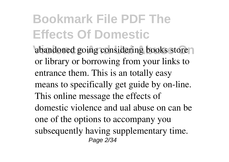abandoned going considering books store or library or borrowing from your links to entrance them. This is an totally easy means to specifically get guide by on-line. This online message the effects of domestic violence and ual abuse on can be one of the options to accompany you subsequently having supplementary time. Page 2/34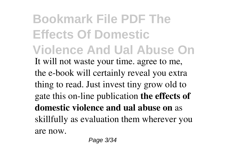**Bookmark File PDF The Effects Of Domestic Violence And Ual Abuse On** It will not waste your time. agree to me, the e-book will certainly reveal you extra thing to read. Just invest tiny grow old to gate this on-line publication **the effects of domestic violence and ual abuse on** as skillfully as evaluation them wherever you are now.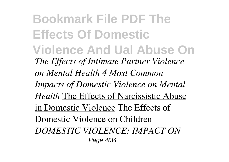**Bookmark File PDF The Effects Of Domestic Violence And Ual Abuse On** *The Effects of Intimate Partner Violence on Mental Health 4 Most Common Impacts of Domestic Violence on Mental Health* The Effects of Narcissistic Abuse in Domestic Violence The Effects of Domestic Violence on Children *DOMESTIC VIOLENCE: IMPACT ON* Page 4/34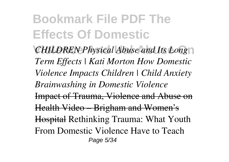*CHILDREN Physical Abuse and Its Long Term Effects | Kati Morton How Domestic Violence Impacts Children | Child Anxiety Brainwashing in Domestic Violence* Impact of Trauma, Violence and Abuse on Health Video – Brigham and Women's Hospital Rethinking Trauma: What Youth From Domestic Violence Have to Teach Page 5/34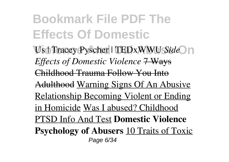**Visit Tracey Pyscher | TEDxWWU Side** n *Effects of Domestic Violence* 7 Ways Childhood Trauma Follow You Into Adulthood Warning Signs Of An Abusive Relationship Becoming Violent or Ending in Homicide Was I abused? Childhood PTSD Info And Test **Domestic Violence Psychology of Abusers** 10 Traits of Toxic Page 6/34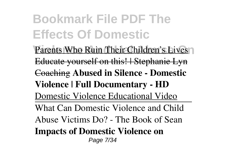**Bookmark File PDF The Effects Of Domestic** Parents Who Ruin Their Children's Lives Educate yourself on this! | Stephanie Lyn Coaching **Abused in Silence - Domestic Violence | Full Documentary - HD** Domestic Violence Educational Video What Can Domestic Violence and Child Abuse Victims Do? - The Book of Sean **Impacts of Domestic Violence on** Page 7/34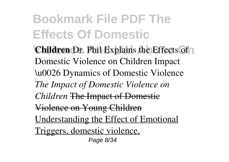**Children** Dr. Phil Explains the Effects of Domestic Violence on Children Impact \u0026 Dynamics of Domestic Violence *The Impact of Domestic Violence on Children* The Impact of Domestic Violence on Young Children Understanding the Effect of Emotional Triggers, domestic violence, Page 8/34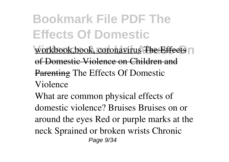**Violence And Ual Abuse On** workbook,book, coronavirus The Effects of Domestic Violence on Children and Parenting The Effects Of Domestic Violence

What are common physical effects of domestic violence? Bruises Bruises on or around the eyes Red or purple marks at the neck Sprained or broken wrists Chronic Page  $9/34$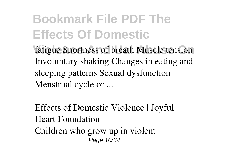fatigue Shortness of breath Muscle tension Involuntary shaking Changes in eating and sleeping patterns Sexual dysfunction Menstrual cycle or ...

Effects of Domestic Violence | Joyful Heart Foundation Children who grow up in violent Page 10/34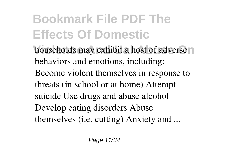**households may exhibit a host of adverse** behaviors and emotions, including: Become violent themselves in response to threats (in school or at home) Attempt suicide Use drugs and abuse alcohol Develop eating disorders Abuse themselves (i.e. cutting) Anxiety and ...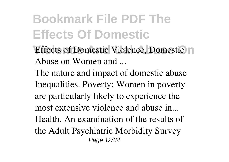- **Effects of Domestic Violence, Domestic In** Abuse on Women and ...
- The nature and impact of domestic abuse Inequalities. Poverty: Women in poverty are particularly likely to experience the most extensive violence and abuse in... Health. An examination of the results of the Adult Psychiatric Morbidity Survey Page 12/34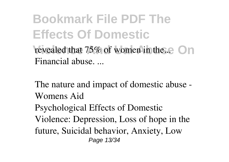revealed that  $75\%$  of women in the....  $\bigcap$  n Financial abuse. ...

The nature and impact of domestic abuse - Womens Aid Psychological Effects of Domestic Violence: Depression, Loss of hope in the future, Suicidal behavior, Anxiety, Low Page 13/34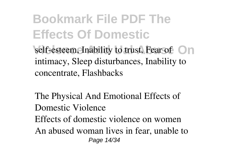**Bookmark File PDF The Effects Of Domestic Self-esteem, Inability to trust, Fear of On** intimacy, Sleep disturbances, Inability to concentrate, Flashbacks

The Physical And Emotional Effects of Domestic Violence Effects of domestic violence on women An abused woman lives in fear, unable to Page 14/34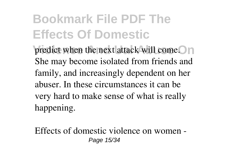predict when the next attack will come. **On** She may become isolated from friends and family, and increasingly dependent on her abuser. In these circumstances it can be very hard to make sense of what is really happening.

Effects of domestic violence on women - Page 15/34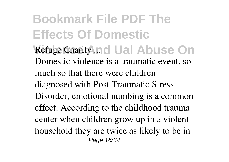**Bookmark File PDF The Effects Of Domestic Refuge Charity .... Ual Abuse On** Domestic violence is a traumatic event, so much so that there were children diagnosed with Post Traumatic Stress Disorder, emotional numbing is a common effect. According to the childhood trauma center when children grow up in a violent household they are twice as likely to be in Page 16/34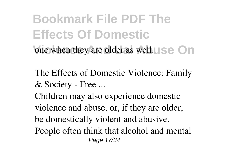**Bookmark File PDF The Effects Of Domestic** one when they are older as well.  $\Box$  Se  $\Box$  n

The Effects of Domestic Violence: Family & Society - Free ...

Children may also experience domestic violence and abuse, or, if they are older, be domestically violent and abusive. People often think that alcohol and mental Page 17/34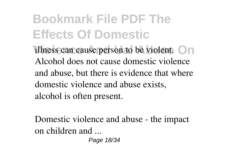**illness can cause person to be violent.** On Alcohol does not cause domestic violence and abuse, but there is evidence that where domestic violence and abuse exists, alcohol is often present.

Domestic violence and abuse - the impact on children and ...

Page 18/34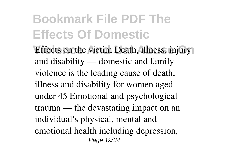**Effects on the victim Death, illness, injury** and disability — domestic and family violence is the leading cause of death, illness and disability for women aged under 45 Emotional and psychological trauma — the devastating impact on an individual's physical, mental and emotional health including depression, Page 19/34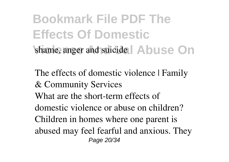**Bookmark File PDF The Effects Of Domestic** shame, anger and suicide **Abuse On** 

The effects of domestic violence | Family & Community Services What are the short-term effects of domestic violence or abuse on children? Children in homes where one parent is abused may feel fearful and anxious. They Page 20/34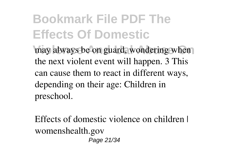may always be on guard, wondering when the next violent event will happen. 3 This can cause them to react in different ways, depending on their age: Children in preschool.

Effects of domestic violence on children I womenshealth.gov Page 21/34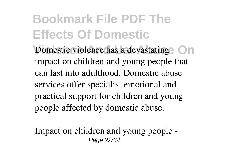**Domestic violence has a devastating On** impact on children and young people that can last into adulthood. Domestic abuse services offer specialist emotional and practical support for children and young people affected by domestic abuse.

Impact on children and young people - Page 22/34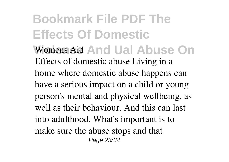**Bookmark File PDF The Effects Of Domestic** Womens Aid And Ual Abuse On Effects of domestic abuse Living in a home where domestic abuse happens can have a serious impact on a child or young person's mental and physical wellbeing, as well as their behaviour. And this can last into adulthood. What's important is to make sure the abuse stops and that Page 23/34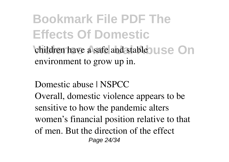children have a safe and stable **USe** On environment to grow up in.

Domestic abuse | NSPCC

Overall, domestic violence appears to be sensitive to how the pandemic alters women's financial position relative to that of men. But the direction of the effect Page 24/34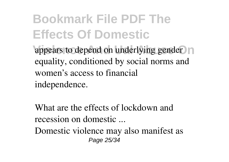appears to depend on underlying gender n equality, conditioned by social norms and women's access to financial independence.

What are the effects of lockdown and recession on domestic ...

Domestic violence may also manifest as Page 25/34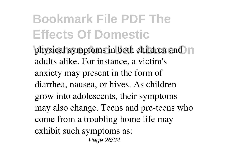**physical symptoms in both children and no** adults alike. For instance, a victim's anxiety may present in the form of diarrhea, nausea, or hives. As children grow into adolescents, their symptoms may also change. Teens and pre-teens who come from a troubling home life may exhibit such symptoms as: Page 26/34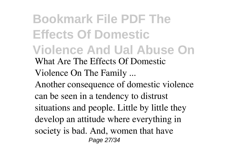**Bookmark File PDF The Effects Of Domestic Violence And Ual Abuse On** What Are The Effects Of Domestic Violence On The Family ... Another consequence of domestic violence can be seen in a tendency to distrust situations and people. Little by little they develop an attitude where everything in society is bad. And, women that have Page 27/34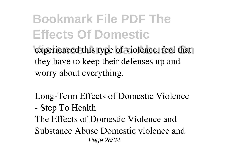experienced this type of violence, feel that they have to keep their defenses up and worry about everything.

- Long-Term Effects of Domestic Violence - Step To Health
- The Effects of Domestic Violence and
- Substance Abuse Domestic violence and Page 28/34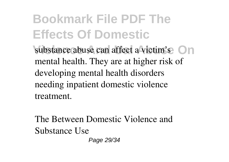**Substance abuse can affect a victim's** On mental health. They are at higher risk of developing mental health disorders needing inpatient domestic violence treatment.

The Between Domestic Violence and Substance Use

Page 29/34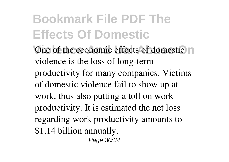**One of the economic effects of domestic in** violence is the loss of long-term productivity for many companies. Victims of domestic violence fail to show up at work, thus also putting a toll on work productivity. It is estimated the net loss regarding work productivity amounts to \$1.14 billion annually. Page 30/34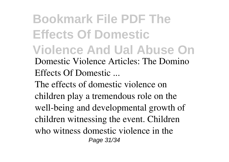**Bookmark File PDF The Effects Of Domestic Violence And Ual Abuse On** Domestic Violence Articles: The Domino Effects Of Domestic ... The effects of domestic violence on

children play a tremendous role on the well-being and developmental growth of children witnessing the event. Children who witness domestic violence in the Page 31/34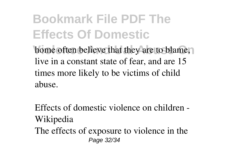home often believe that they are to blame, live in a constant state of fear, and are 15 times more likely to be victims of child abuse.

Effects of domestic violence on children - Wikipedia The effects of exposure to violence in the Page 32/34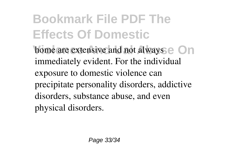**home are extensive and not always e** On immediately evident. For the individual exposure to domestic violence can precipitate personality disorders, addictive disorders, substance abuse, and even physical disorders.